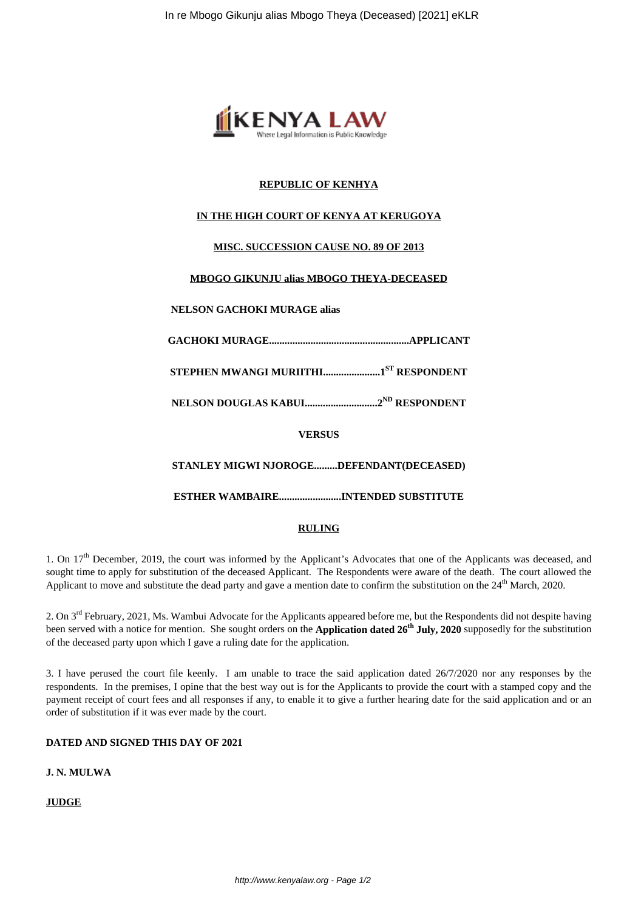

# **REPUBLIC OF KENHYA**

## **IN THE HIGH COURT OF KENYA AT KERUGOYA**

## **MISC. SUCCESSION CAUSE NO. 89 OF 2013**

## **MBOGO GIKUNJU alias MBOGO THEYA-DECEASED**

#### **NELSON GACHOKI MURAGE alias**

**GACHOKI MURAGE......................................................APPLICANT**

**STEPHEN MWANGI MURIITHI......................1ST RESPONDENT**

**NELSON DOUGLAS KABUI............................2ND RESPONDENT**

**VERSUS**

**STANLEY MIGWI NJOROGE.........DEFENDANT(DECEASED)**

**ESTHER WAMBAIRE........................INTENDED SUBSTITUTE**

#### **RULING**

1. On 17<sup>th</sup> December, 2019, the court was informed by the Applicant's Advocates that one of the Applicants was deceased, and sought time to apply for substitution of the deceased Applicant. The Respondents were aware of the death. The court allowed the Applicant to move and substitute the dead party and gave a mention date to confirm the substitution on the 24<sup>th</sup> March, 2020.

2. On 3rd February, 2021, Ms. Wambui Advocate for the Applicants appeared before me, but the Respondents did not despite having been served with a notice for mention. She sought orders on the **Application dated 26th July, 2020** supposedly for the substitution of the deceased party upon which I gave a ruling date for the application.

3. I have perused the court file keenly. I am unable to trace the said application dated 26/7/2020 nor any responses by the respondents. In the premises, I opine that the best way out is for the Applicants to provide the court with a stamped copy and the payment receipt of court fees and all responses if any, to enable it to give a further hearing date for the said application and or an order of substitution if it was ever made by the court.

# **DATED AND SIGNED THIS DAY OF 2021**

**J. N. MULWA**

**JUDGE**